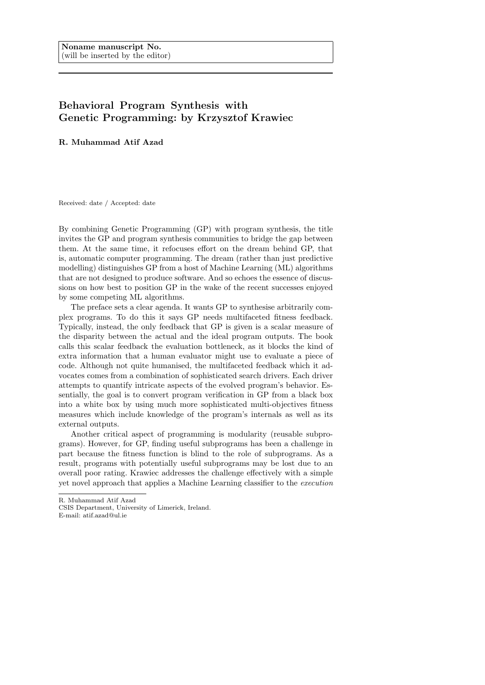## Behavioral Program Synthesis with Genetic Programming: by Krzysztof Krawiec

R. Muhammad Atif Azad

Received: date / Accepted: date

By combining Genetic Programming (GP) with program synthesis, the title invites the GP and program synthesis communities to bridge the gap between them. At the same time, it refocuses effort on the dream behind GP, that is, automatic computer programming. The dream (rather than just predictive modelling) distinguishes GP from a host of Machine Learning (ML) algorithms that are not designed to produce software. And so echoes the essence of discussions on how best to position GP in the wake of the recent successes enjoyed by some competing ML algorithms.

The preface sets a clear agenda. It wants GP to synthesise arbitrarily complex programs. To do this it says GP needs multifaceted fitness feedback. Typically, instead, the only feedback that GP is given is a scalar measure of the disparity between the actual and the ideal program outputs. The book calls this scalar feedback the evaluation bottleneck, as it blocks the kind of extra information that a human evaluator might use to evaluate a piece of code. Although not quite humanised, the multifaceted feedback which it advocates comes from a combination of sophisticated search drivers. Each driver attempts to quantify intricate aspects of the evolved program's behavior. Essentially, the goal is to convert program verification in GP from a black box into a white box by using much more sophisticated multi-objectives fitness measures which include knowledge of the program's internals as well as its external outputs.

Another critical aspect of programming is modularity (reusable subprograms). However, for GP, finding useful subprograms has been a challenge in part because the fitness function is blind to the role of subprograms. As a result, programs with potentially useful subprograms may be lost due to an overall poor rating. Krawiec addresses the challenge effectively with a simple yet novel approach that applies a Machine Learning classifier to the execution

R. Muhammad Atif Azad

CSIS Department, University of Limerick, Ireland.

E-mail: atif.azad@ul.ie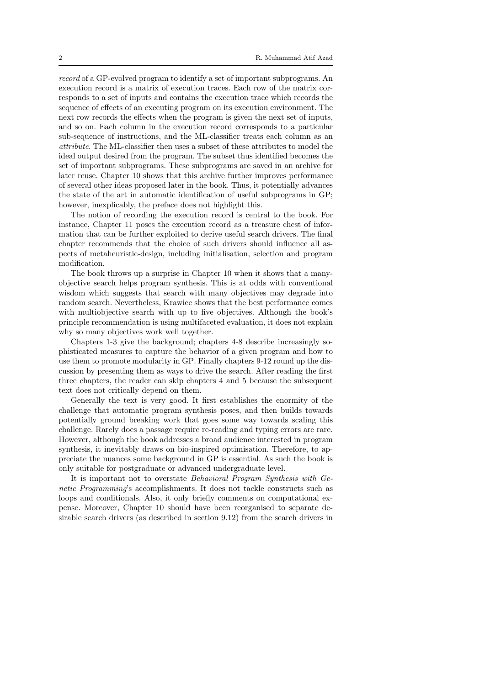record of a GP-evolved program to identify a set of important subprograms. An execution record is a matrix of execution traces. Each row of the matrix corresponds to a set of inputs and contains the execution trace which records the sequence of effects of an executing program on its execution environment. The next row records the effects when the program is given the next set of inputs, and so on. Each column in the execution record corresponds to a particular sub-sequence of instructions, and the ML-classifier treats each column as an attribute. The ML-classifier then uses a subset of these attributes to model the ideal output desired from the program. The subset thus identified becomes the set of important subprograms. These subprograms are saved in an archive for later reuse. Chapter 10 shows that this archive further improves performance of several other ideas proposed later in the book. Thus, it potentially advances the state of the art in automatic identification of useful subprograms in GP; however, inexplicably, the preface does not highlight this.

The notion of recording the execution record is central to the book. For instance, Chapter 11 poses the execution record as a treasure chest of information that can be further exploited to derive useful search drivers. The final chapter recommends that the choice of such drivers should influence all aspects of metaheuristic-design, including initialisation, selection and program modification.

The book throws up a surprise in Chapter 10 when it shows that a manyobjective search helps program synthesis. This is at odds with conventional wisdom which suggests that search with many objectives may degrade into random search. Nevertheless, Krawiec shows that the best performance comes with multiobjective search with up to five objectives. Although the book's principle recommendation is using multifaceted evaluation, it does not explain why so many objectives work well together.

Chapters 1-3 give the background; chapters 4-8 describe increasingly sophisticated measures to capture the behavior of a given program and how to use them to promote modularity in GP. Finally chapters 9-12 round up the discussion by presenting them as ways to drive the search. After reading the first three chapters, the reader can skip chapters 4 and 5 because the subsequent text does not critically depend on them.

Generally the text is very good. It first establishes the enormity of the challenge that automatic program synthesis poses, and then builds towards potentially ground breaking work that goes some way towards scaling this challenge. Rarely does a passage require re-reading and typing errors are rare. However, although the book addresses a broad audience interested in program synthesis, it inevitably draws on bio-inspired optimisation. Therefore, to appreciate the nuances some background in GP is essential. As such the book is only suitable for postgraduate or advanced undergraduate level.

It is important not to overstate Behavioral Program Synthesis with Genetic Programming's accomplishments. It does not tackle constructs such as loops and conditionals. Also, it only briefly comments on computational expense. Moreover, Chapter 10 should have been reorganised to separate desirable search drivers (as described in section 9.12) from the search drivers in